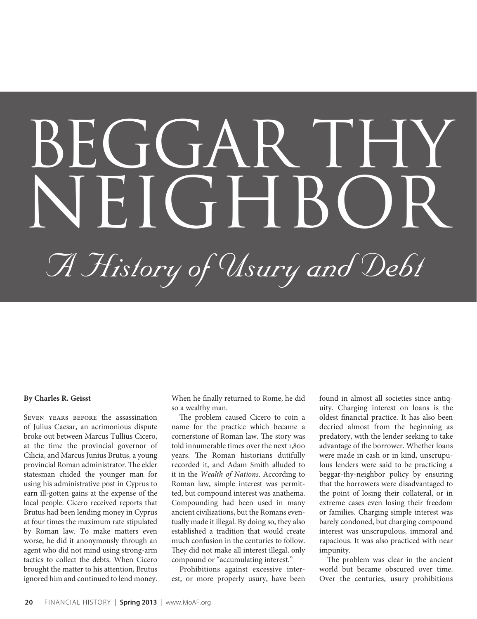## BEGGAR THY NEIGHBOR *A History of Usury and Debt*

## **By Charles R. Geisst**

Seven years before the assassination of Julius Caesar, an acrimonious dispute broke out between Marcus Tullius Cicero, at the time the provincial governor of Cilicia, and Marcus Junius Brutus, a young provincial Roman administrator. The elder statesman chided the younger man for using his administrative post in Cyprus to earn ill-gotten gains at the expense of the local people. Cicero received reports that Brutus had been lending money in Cyprus at four times the maximum rate stipulated by Roman law. To make matters even worse, he did it anonymously through an agent who did not mind using strong-arm tactics to collect the debts. When Cicero brought the matter to his attention, Brutus ignored him and continued to lend money. When he finally returned to Rome, he did so a wealthy man.

The problem caused Cicero to coin a name for the practice which became a cornerstone of Roman law. The story was told innumerable times over the next 1,800 years. The Roman historians dutifully recorded it, and Adam Smith alluded to it in the *Wealth of Nations*. According to Roman law, simple interest was permitted, but compound interest was anathema. Compounding had been used in many ancient civilizations, but the Romans eventually made it illegal. By doing so, they also established a tradition that would create much confusion in the centuries to follow. They did not make all interest illegal, only compound or "accumulating interest."

Prohibitions against excessive interest, or more properly usury, have been found in almost all societies since antiquity. Charging interest on loans is the oldest financial practice. It has also been decried almost from the beginning as predatory, with the lender seeking to take advantage of the borrower. Whether loans were made in cash or in kind, unscrupulous lenders were said to be practicing a beggar-thy-neighbor policy by ensuring that the borrowers were disadvantaged to the point of losing their collateral, or in extreme cases even losing their freedom or families. Charging simple interest was barely condoned, but charging compound interest was unscrupulous, immoral and rapacious. It was also practiced with near impunity.

The problem was clear in the ancient world but became obscured over time. Over the centuries, usury prohibitions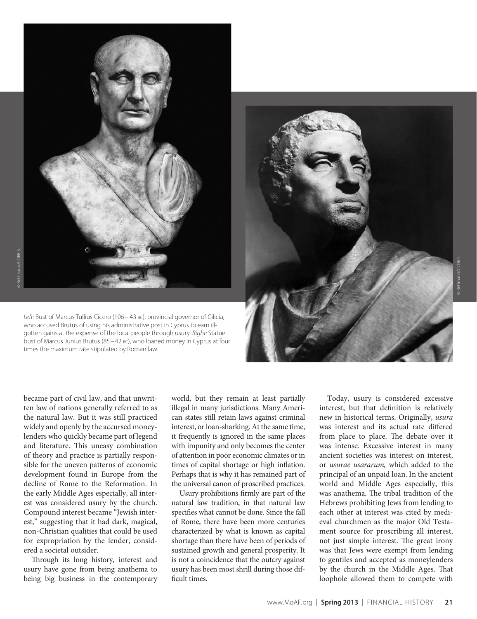

Left: Bust of Marcus Tullius Cicero (106 - 43 BC), provincial governor of Cilicia, who accused Brutus of using his administrative post in Cyprus to earn illgotten gains at the expense of the local people through usury. *Right:* Statue bust of Marcus Junius Brutus (85 –42 bc), who loaned money in Cyprus at four times the maximum rate stipulated by Roman law.



became part of civil law, and that unwritten law of nations generally referred to as the natural law. But it was still practiced widely and openly by the accursed moneylenders who quickly became part of legend and literature. This uneasy combination of theory and practice is partially responsible for the uneven patterns of economic development found in Europe from the decline of Rome to the Reformation. In the early Middle Ages especially, all interest was considered usury by the church. Compound interest became "Jewish interest," suggesting that it had dark, magical, non-Christian qualities that could be used for expropriation by the lender, considered a societal outsider.

Through its long history, interest and usury have gone from being anathema to being big business in the contemporary

world, but they remain at least partially illegal in many jurisdictions. Many American states still retain laws against criminal interest, or loan-sharking. At the same time, it frequently is ignored in the same places with impunity and only becomes the center of attention in poor economic climates or in times of capital shortage or high inflation. Perhaps that is why it has remained part of the universal canon of proscribed practices.

Usury prohibitions firmly are part of the natural law tradition, in that natural law specifies what cannot be done. Since the fall of Rome, there have been more centuries characterized by what is known as capital shortage than there have been of periods of sustained growth and general prosperity. It is not a coincidence that the outcry against usury has been most shrill during those difficult times.

Today, usury is considered excessive interest, but that definition is relatively new in historical terms. Originally, *usura* was interest and its actual rate differed from place to place. The debate over it was intense. Excessive interest in many ancient societies was interest on interest, or *usurae usararum,* which added to the principal of an unpaid loan. In the ancient world and Middle Ages especially, this was anathema. The tribal tradition of the Hebrews prohibiting Jews from lending to each other at interest was cited by medieval churchmen as the major Old Testament source for proscribing all interest, not just simple interest. The great irony was that Jews were exempt from lending to gentiles and accepted as moneylenders by the church in the Middle Ages. That loophole allowed them to compete with

© Bettmann/CORBIS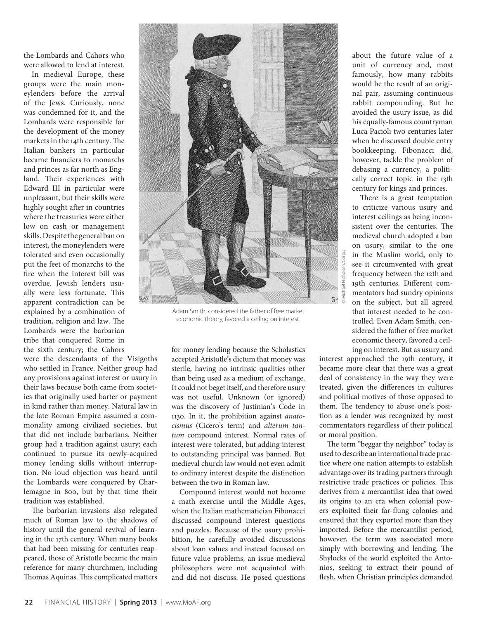the Lombards and Cahors who were allowed to lend at interest.

In medieval Europe, these groups were the main moneylenders before the arrival of the Jews. Curiously, none was condemned for it, and the Lombards were responsible for the development of the money markets in the 14th century. The Italian bankers in particular became financiers to monarchs and princes as far north as England. Their experiences with Edward III in particular were unpleasant, but their skills were highly sought after in countries where the treasuries were either low on cash or management skills. Despite the general ban on interest, the moneylenders were tolerated and even occasionally put the feet of monarchs to the fire when the interest bill was overdue. Jewish lenders usually were less fortunate. This apparent contradiction can be explained by a combination of tradition, religion and law. The Lombards were the barbarian tribe that conquered Rome in the sixth century; the Cahors

were the descendants of the Visigoths who settled in France. Neither group had any provisions against interest or usury in their laws because both came from societies that originally used barter or payment in kind rather than money. Natural law in the late Roman Empire assumed a commonality among civilized societies, but that did not include barbarians. Neither group had a tradition against usury; each continued to pursue its newly-acquired money lending skills without interruption. No loud objection was heard until the Lombards were conquered by Charlemagne in 800, but by that time their tradition was established.

The barbarian invasions also relegated much of Roman law to the shadows of history until the general revival of learning in the 17th century. When many books that had been missing for centuries reappeared, those of Aristotle became the main reference for many churchmen, including Thomas Aquinas. This complicated matters



Adam Smith, considered the father of free market economic theory, favored a ceiling on interest.

for money lending because the Scholastics accepted Aristotle's dictum that money was sterile, having no intrinsic qualities other than being used as a medium of exchange. It could not beget itself, and therefore usury was not useful. Unknown (or ignored) was the discovery of Justinian's Code in 1130. In it, the prohibition against *anatocismus* (Cicero's term) and *alterum tantum* compound interest. Normal rates of interest were tolerated, but adding interest to outstanding principal was banned. But medieval church law would not even admit to ordinary interest despite the distinction between the two in Roman law.

Compound interest would not become a math exercise until the Middle Ages, when the Italian mathematician Fibonacci discussed compound interest questions and puzzles. Because of the usury prohibition, he carefully avoided discussions about loan values and instead focused on future value problems, an issue medieval philosophers were not acquainted with and did not discuss. He posed questions

about the future value of a unit of currency and, most famously, how many rabbits would be the result of an original pair, assuming continuous rabbit compounding. But he avoided the usury issue, as did his equally-famous countryman Luca Pacioli two centuries later when he discussed double entry bookkeeping. Fibonacci did, however, tackle the problem of debasing a currency, a politically correct topic in the 13th century for kings and princes.

There is a great temptation to criticize various usury and interest ceilings as being inconsistent over the centuries. The medieval church adopted a ban on usury, similar to the one in the Muslim world, only to see it circumvented with great frequency between the 12th and 19th centuries. Different commentators had sundry opinions on the subject, but all agreed that interest needed to be controlled. Even Adam Smith, considered the father of free market economic theory, favored a ceiling on interest. But as usury and

interest approached the 19th century, it became more clear that there was a great deal of consistency in the way they were treated, given the differences in cultures and political motives of those opposed to them. The tendency to abuse one's position as a lender was recognized by most commentators regardless of their political or moral position.

The term "beggar thy neighbor" today is used to describe an international trade practice where one nation attempts to establish advantage over its trading partners through restrictive trade practices or policies. This derives from a mercantilist idea that owed its origins to an era when colonial powers exploited their far-flung colonies and ensured that they exported more than they imported. Before the mercantilist period, however, the term was associated more simply with borrowing and lending. The Shylocks of the world exploited the Antonios, seeking to extract their pound of flesh, when Christian principles demanded